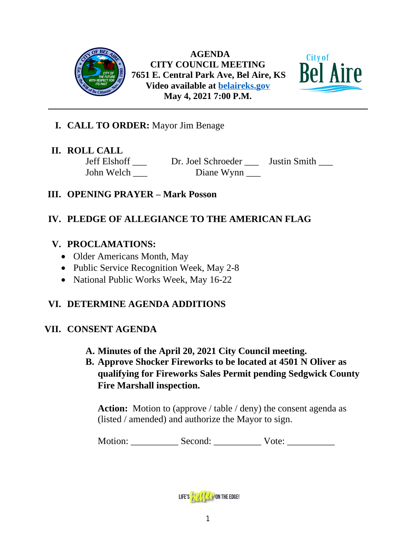

 **AGENDA CITY COUNCIL MEETING 7651 E. Central Park Ave, Bel Aire, KS Video available at [belaireks.gov](http://belaireks.gov/) May 4, 2021 7:00 P.M.**



## **I. CALL TO ORDER:** Mayor Jim Benage

## **II. ROLL CALL**

Jeff Elshoff \_\_\_ Dr. Joel Schroeder \_\_\_ Justin Smith \_\_\_ John Welch Diane Wynn

## **III. OPENING PRAYER – Mark Posson**

# **IV. PLEDGE OF ALLEGIANCE TO THE AMERICAN FLAG**

## **V. PROCLAMATIONS:**

- Older Americans Month, May
- Public Service Recognition Week, May 2-8
- National Public Works Week, May 16-22

# **VI. DETERMINE AGENDA ADDITIONS**

## **VII. CONSENT AGENDA**

- **A. Minutes of the April 20, 2021 City Council meeting.**
- **B. Approve Shocker Fireworks to be located at 4501 N Oliver as qualifying for Fireworks Sales Permit pending Sedgwick County Fire Marshall inspection.**

**Action:** Motion to (approve / table / deny) the consent agenda as (listed / amended) and authorize the Mayor to sign.

Motion: \_\_\_\_\_\_\_\_\_\_\_\_ Second: \_\_\_\_\_\_\_\_\_\_\_ Vote: \_\_\_\_\_\_\_\_\_\_\_

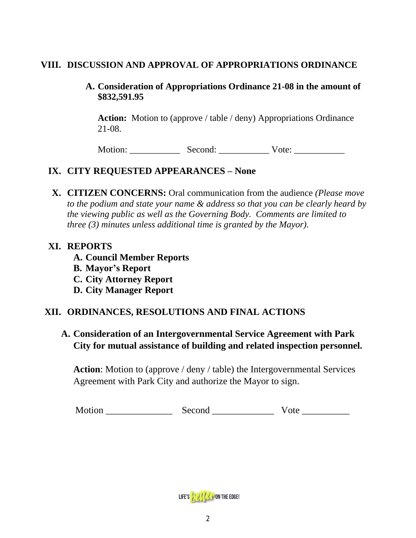### **VIII. DISCUSSION AND APPROVAL OF APPROPRIATIONS ORDINANCE**

### **A. Consideration of Appropriations Ordinance 21-08 in the amount of \$832,591.95**

Action: Motion to (approve / table / deny) Appropriations Ordinance 21-08.

Motion: \_\_\_\_\_\_\_\_\_\_\_ Second: \_\_\_\_\_\_\_\_\_\_\_ Vote: \_\_\_\_\_\_\_\_\_\_\_

# **IX. CITY REQUESTED APPEARANCES – None**

**X. CITIZEN CONCERNS:** Oral communication from the audience *(Please move to the podium and state your name & address so that you can be clearly heard by the viewing public as well as the Governing Body. Comments are limited to three (3) minutes unless additional time is granted by the Mayor).*

### **XI. REPORTS**

- **A. Council Member Reports**
- **B. Mayor's Report**
- **C. City Attorney Report**
- **D. City Manager Report**

# **XII. ORDINANCES, RESOLUTIONS AND FINAL ACTIONS**

## **A. Consideration of an Intergovernmental Service Agreement with Park City for mutual assistance of building and related inspection personnel.**

**Action**: Motion to (approve / deny / table) the Intergovernmental Services Agreement with Park City and authorize the Mayor to sign.

Motion \_\_\_\_\_\_\_\_\_\_\_\_\_\_ Second \_\_\_\_\_\_\_\_\_\_\_\_\_ Vote \_\_\_\_\_\_\_\_\_\_

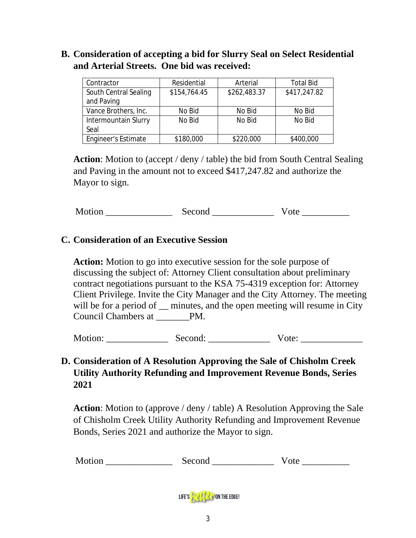## **B. Consideration of accepting a bid for Slurry Seal on Select Residential and Arterial Streets. One bid was received:**

| Contractor            | Residential  | Arterial     | <b>Total Bid</b> |
|-----------------------|--------------|--------------|------------------|
| South Central Sealing | \$154,764.45 | \$262,483.37 | \$417,247.82     |
| and Paving            |              |              |                  |
| Vance Brothers, Inc.  | No Bid       | No Bid       | No Bid           |
| Intermountain Slurry  | No Bid       | No Bid       | No Bid           |
| Seal                  |              |              |                  |
| Engineer's Estimate   | \$180,000    | \$220,000    | \$400,000        |

**Action**: Motion to (accept / deny / table) the bid from South Central Sealing and Paving in the amount not to exceed \$417,247.82 and authorize the Mayor to sign.

Motion Second Vote 2008

## **C. Consideration of an Executive Session**

**Action:** Motion to go into executive session for the sole purpose of discussing the subject of: Attorney Client consultation about preliminary contract negotiations pursuant to the KSA 75-4319 exception for: Attorney Client Privilege. Invite the City Manager and the City Attorney. The meeting will be for a period of  $\equiv$  minutes, and the open meeting will resume in City Council Chambers at \_\_\_\_\_\_\_PM.

Motion: \_\_\_\_\_\_\_\_\_\_\_\_\_ Second: \_\_\_\_\_\_\_\_\_\_\_\_\_ Vote: \_\_\_\_\_\_\_\_\_\_\_\_\_

# **D. Consideration of A Resolution Approving the Sale of Chisholm Creek Utility Authority Refunding and Improvement Revenue Bonds, Series 2021**

**Action**: Motion to (approve / deny / table) A Resolution Approving the Sale of Chisholm Creek Utility Authority Refunding and Improvement Revenue Bonds, Series 2021 and authorize the Mayor to sign.

Motion \_\_\_\_\_\_\_\_\_\_\_\_\_\_ Second \_\_\_\_\_\_\_\_\_\_\_\_\_ Vote \_\_\_\_\_\_\_\_\_\_